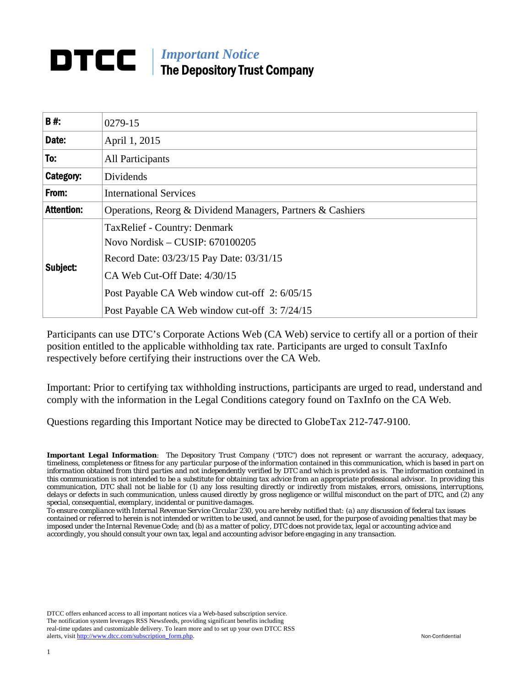# *Important Notice*  DTCC I The Depository Trust Company

| <b>B#</b>         | 0279-15                                                                                                                                                                                                                                              |  |  |
|-------------------|------------------------------------------------------------------------------------------------------------------------------------------------------------------------------------------------------------------------------------------------------|--|--|
| Date:             | April 1, 2015                                                                                                                                                                                                                                        |  |  |
| To:               | <b>All Participants</b>                                                                                                                                                                                                                              |  |  |
| Category:         | Dividends                                                                                                                                                                                                                                            |  |  |
| From:             | <b>International Services</b>                                                                                                                                                                                                                        |  |  |
| <b>Attention:</b> | Operations, Reorg & Dividend Managers, Partners & Cashiers                                                                                                                                                                                           |  |  |
| Subject:          | <b>TaxRelief - Country: Denmark</b><br>Novo Nordisk - CUSIP: 670100205<br>Record Date: 03/23/15 Pay Date: 03/31/15<br>CA Web Cut-Off Date: 4/30/15<br>Post Payable CA Web window cut-off 2: 6/05/15<br>Post Payable CA Web window cut-off 3: 7/24/15 |  |  |

Participants can use DTC's Corporate Actions Web (CA Web) service to certify all or a portion of their position entitled to the applicable withholding tax rate. Participants are urged to consult TaxInfo respectively before certifying their instructions over the CA Web.

Important: Prior to certifying tax withholding instructions, participants are urged to read, understand and comply with the information in the Legal Conditions category found on TaxInfo on the CA Web.

Questions regarding this Important Notice may be directed to GlobeTax 212-747-9100.

*Important Legal Information: The Depository Trust Company ("DTC") does not represent or warrant the accuracy, adequacy, timeliness, completeness or fitness for any particular purpose of the information contained in this communication, which is based in part on information obtained from third parties and not independently verified by DTC and which is provided as is. The information contained in this communication is not intended to be a substitute for obtaining tax advice from an appropriate professional advisor. In providing this communication, DTC shall not be liable for (1) any loss resulting directly or indirectly from mistakes, errors, omissions, interruptions, delays or defects in such communication, unless caused directly by gross negligence or willful misconduct on the part of DTC, and (2) any special, consequential, exemplary, incidental or punitive damages.* 

*To ensure compliance with Internal Revenue Service Circular 230, you are hereby notified that: (a) any discussion of federal tax issues contained or referred to herein is not intended or written to be used, and cannot be used, for the purpose of avoiding penalties that may be imposed under the Internal Revenue Code; and (b) as a matter of policy, DTC does not provide tax, legal or accounting advice and accordingly, you should consult your own tax, legal and accounting advisor before engaging in any transaction.*

DTCC offers enhanced access to all important notices via a Web-based subscription service. The notification system leverages RSS Newsfeeds, providing significant benefits including real-time updates and customizable delivery. To learn more and to set up your own DTCC RSS alerts, visit http://www.dtcc.com/subscription\_form.php. Non-Confidential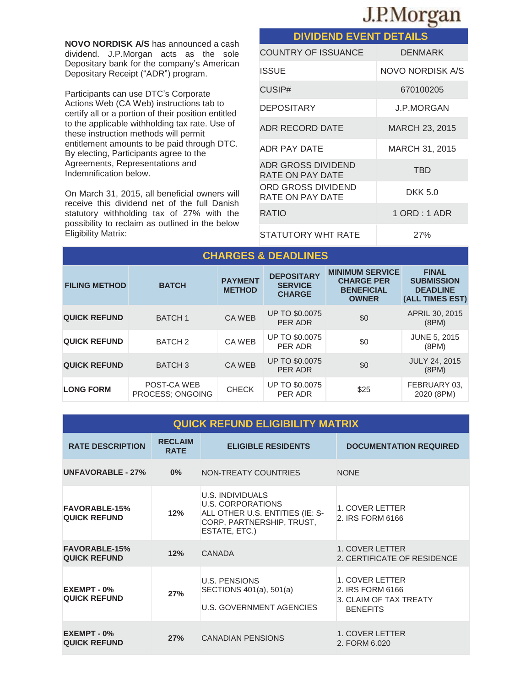# J.P.Morgan

**NOVO NORDISK A/S** has announced a cash dividend. J.P.Morgan acts as the sole Depositary bank for the company's American Depositary Receipt ("ADR") program.

Participants can use DTC's Corporate Actions Web (CA Web) instructions tab to certify all or a portion of their position entitled to the applicable withholding tax rate. Use of these instruction methods will permit entitlement amounts to be paid through DTC. By electing, Participants agree to the Agreements, Representations and Indemnification below.

On March 31, 2015, all beneficial owners will receive this dividend net of the full Danish statutory withholding tax of 27% with the possibility to reclaim as outlined in the below Eligibility Matrix:

| <b>DIVIDEND EVENT DETAILS</b>          |                         |  |  |  |  |
|----------------------------------------|-------------------------|--|--|--|--|
| <b>COUNTRY OF ISSUANCE</b>             | <b>DENMARK</b>          |  |  |  |  |
| ISSUE                                  | <b>NOVO NORDISK A/S</b> |  |  |  |  |
| CUSIP#                                 | 670100205               |  |  |  |  |
| <b>DEPOSITARY</b>                      | <b>J.P.MORGAN</b>       |  |  |  |  |
| ADR RECORD DATE                        | <b>MARCH 23, 2015</b>   |  |  |  |  |
| ADR PAY DATE                           | MARCH 31, 2015          |  |  |  |  |
| ADR GROSS DIVIDEND<br>RATE ON PAY DATE | TBD                     |  |  |  |  |
| ORD GROSS DIVIDEND<br>RATE ON PAY DATE | DKK 5.0                 |  |  |  |  |
| RATIO                                  | $1$ ORD : 1 ADR         |  |  |  |  |
| STATUTORY WHT RATE                     | 27%                     |  |  |  |  |

| <b>CHARGES &amp; DEADLINES</b> |                                 |                                 |                                                      |                                                                                  |                                                                         |  |
|--------------------------------|---------------------------------|---------------------------------|------------------------------------------------------|----------------------------------------------------------------------------------|-------------------------------------------------------------------------|--|
| <b>FILING METHOD</b>           | <b>BATCH</b>                    | <b>PAYMENT</b><br><b>METHOD</b> | <b>DEPOSITARY</b><br><b>SERVICE</b><br><b>CHARGE</b> | <b>MINIMUM SERVICE</b><br><b>CHARGE PER</b><br><b>BENEFICIAL</b><br><b>OWNER</b> | <b>FINAL</b><br><b>SUBMISSION</b><br><b>DEADLINE</b><br>(ALL TIMES EST) |  |
| <b>QUICK REFUND</b>            | <b>BATCH1</b>                   | <b>CA WEB</b>                   | <b>UP TO \$0.0075</b><br>PER ADR                     | \$0                                                                              | APRIL 30, 2015<br>(8PM)                                                 |  |
| <b>QUICK REFUND</b>            | BATCH <sub>2</sub>              | CA WEB                          | UP TO \$0.0075<br>PER ADR                            | \$0                                                                              | <b>JUNE 5, 2015</b><br>(8PM)                                            |  |
| <b>QUICK REFUND</b>            | <b>BATCH 3</b>                  | <b>CA WEB</b>                   | <b>UP TO \$0.0075</b><br>PER ADR                     | \$0                                                                              | <b>JULY 24, 2015</b><br>(8PM)                                           |  |
| <b>LONG FORM</b>               | POST-CA WEB<br>PROCESS; ONGOING | <b>CHECK</b>                    | <b>UP TO \$0.0075</b><br>PER ADR                     | \$25                                                                             | FEBRUARY 03,<br>2020 (8PM)                                              |  |

|  |  | <b>QUICK REFUND ELIGIBILITY MATRIX</b> |
|--|--|----------------------------------------|
|  |  |                                        |
|  |  |                                        |

| <b>RATE DESCRIPTION</b>                     | <b>RECLAIM</b><br><b>RATE</b> | <b>ELIGIBLE RESIDENTS</b>                                                                                                     | <b>DOCUMENTATION REQUIRED</b>                                                    |
|---------------------------------------------|-------------------------------|-------------------------------------------------------------------------------------------------------------------------------|----------------------------------------------------------------------------------|
| <b>UNFAVORABLE - 27%</b>                    | $0\%$                         | NON-TREATY COUNTRIES                                                                                                          | <b>NONE</b>                                                                      |
| <b>FAVORABLE-15%</b><br><b>QUICK REFUND</b> | 12%                           | U.S. INDIVIDUALS<br><b>U.S. CORPORATIONS</b><br>ALL OTHER U.S. ENTITIES (IE: S-<br>CORP, PARTNERSHIP, TRUST,<br>ESTATE, ETC.) | 1. COVER LETTER<br>2. IRS FORM 6166                                              |
| <b>FAVORABLE-15%</b><br><b>QUICK REFUND</b> | 12%                           | <b>CANADA</b>                                                                                                                 | 1. COVER LETTER<br>2. CERTIFICATE OF RESIDENCE                                   |
| EXEMPT - 0%<br><b>QUICK REFUND</b>          | 27%                           | <b>U.S. PENSIONS</b><br>SECTIONS 401(a), 501(a)<br><b>U.S. GOVERNMENT AGENCIES</b>                                            | 1. COVER LETTER<br>2. IRS FORM 6166<br>3. CLAIM OF TAX TREATY<br><b>BENEFITS</b> |
| EXEMPT - 0%<br><b>QUICK REFUND</b>          | 27%                           | <b>CANADIAN PENSIONS</b>                                                                                                      | 1. COVER LETTER<br>2. FORM 6.020                                                 |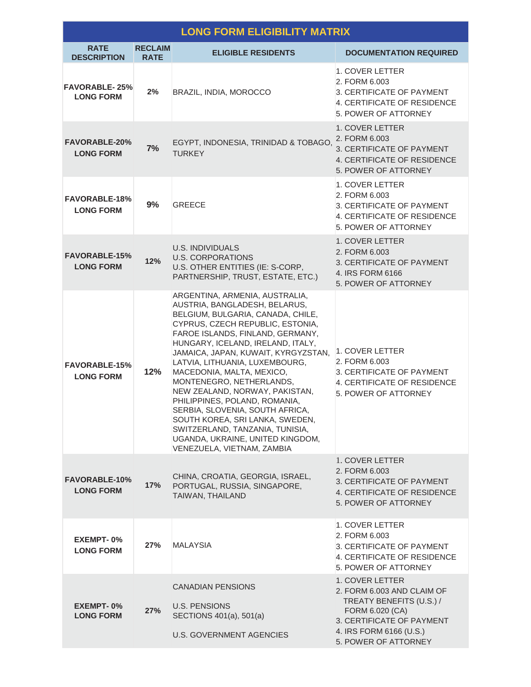| <b>LONG FORM ELIGIBILITY MATRIX</b>      |                               |                                                                                                                                                                                                                                                                                                                                                                                                                                                                                                                                                                                                   |                                                                                                                                                                              |  |  |
|------------------------------------------|-------------------------------|---------------------------------------------------------------------------------------------------------------------------------------------------------------------------------------------------------------------------------------------------------------------------------------------------------------------------------------------------------------------------------------------------------------------------------------------------------------------------------------------------------------------------------------------------------------------------------------------------|------------------------------------------------------------------------------------------------------------------------------------------------------------------------------|--|--|
| <b>RATE</b><br><b>DESCRIPTION</b>        | <b>RECLAIM</b><br><b>RATE</b> | <b>ELIGIBLE RESIDENTS</b>                                                                                                                                                                                                                                                                                                                                                                                                                                                                                                                                                                         | <b>DOCUMENTATION REQUIRED</b>                                                                                                                                                |  |  |
| <b>FAVORABLE-25%</b><br><b>LONG FORM</b> | 2%                            | BRAZIL, INDIA, MOROCCO                                                                                                                                                                                                                                                                                                                                                                                                                                                                                                                                                                            | 1. COVER LETTER<br>2. FORM 6.003<br>3. CERTIFICATE OF PAYMENT<br>4. CERTIFICATE OF RESIDENCE<br>5. POWER OF ATTORNEY                                                         |  |  |
| <b>FAVORABLE-20%</b><br><b>LONG FORM</b> | 7%                            | EGYPT, INDONESIA, TRINIDAD & TOBAGO,<br><b>TURKEY</b>                                                                                                                                                                                                                                                                                                                                                                                                                                                                                                                                             | 1. COVER LETTER<br>2. FORM 6.003<br>3. CERTIFICATE OF PAYMENT<br>4. CERTIFICATE OF RESIDENCE<br>5. POWER OF ATTORNEY                                                         |  |  |
| <b>FAVORABLE-18%</b><br><b>LONG FORM</b> | 9%                            | <b>GREECE</b>                                                                                                                                                                                                                                                                                                                                                                                                                                                                                                                                                                                     | 1. COVER LETTER<br>2. FORM 6.003<br>3. CERTIFICATE OF PAYMENT<br>4. CERTIFICATE OF RESIDENCE<br>5. POWER OF ATTORNEY                                                         |  |  |
| <b>FAVORABLE-15%</b><br><b>LONG FORM</b> | 12%                           | <b>U.S. INDIVIDUALS</b><br><b>U.S. CORPORATIONS</b><br>U.S. OTHER ENTITIES (IE: S-CORP,<br>PARTNERSHIP, TRUST, ESTATE, ETC.)                                                                                                                                                                                                                                                                                                                                                                                                                                                                      | 1. COVER LETTER<br>2. FORM 6.003<br>3. CERTIFICATE OF PAYMENT<br>4. IRS FORM 6166<br>5. POWER OF ATTORNEY                                                                    |  |  |
| <b>FAVORABLE-15%</b><br><b>LONG FORM</b> | 12%                           | ARGENTINA, ARMENIA, AUSTRALIA,<br>AUSTRIA, BANGLADESH, BELARUS,<br>BELGIUM, BULGARIA, CANADA, CHILE,<br>CYPRUS, CZECH REPUBLIC, ESTONIA,<br>FAROE ISLANDS, FINLAND, GERMANY,<br>HUNGARY, ICELAND, IRELAND, ITALY,<br>JAMAICA, JAPAN, KUWAIT, KYRGYZSTAN,<br>LATVIA, LITHUANIA, LUXEMBOURG,<br>MACEDONIA, MALTA, MEXICO,<br>MONTENEGRO, NETHERLANDS,<br>NEW ZEALAND, NORWAY, PAKISTAN,<br>PHILIPPINES, POLAND, ROMANIA,<br>SERBIA, SLOVENIA, SOUTH AFRICA,<br>SOUTH KOREA, SRI LANKA, SWEDEN,<br>SWITZERLAND, TANZANIA, TUNISIA,<br>UGANDA, UKRAINE, UNITED KINGDOM,<br>VENEZUELA, VIETNAM, ZAMBIA | 1. COVER LETTER<br>2. FORM 6.003<br>3. CERTIFICATE OF PAYMENT<br>4. CERTIFICATE OF RESIDENCE<br>5. POWER OF ATTORNEY                                                         |  |  |
| <b>FAVORABLE-10%</b><br><b>LONG FORM</b> | 17%                           | CHINA, CROATIA, GEORGIA, ISRAEL,<br>PORTUGAL, RUSSIA, SINGAPORE,<br>TAIWAN, THAILAND                                                                                                                                                                                                                                                                                                                                                                                                                                                                                                              | 1. COVER LETTER<br>2. FORM 6.003<br>3. CERTIFICATE OF PAYMENT<br>4. CERTIFICATE OF RESIDENCE<br>5. POWER OF ATTORNEY                                                         |  |  |
| EXEMPT-0%<br><b>LONG FORM</b>            | 27%                           | <b>MALAYSIA</b>                                                                                                                                                                                                                                                                                                                                                                                                                                                                                                                                                                                   | 1. COVER LETTER<br>2. FORM 6.003<br>3. CERTIFICATE OF PAYMENT<br>4. CERTIFICATE OF RESIDENCE<br>5. POWER OF ATTORNEY                                                         |  |  |
| <b>EXEMPT-0%</b><br><b>LONG FORM</b>     | 27%                           | <b>CANADIAN PENSIONS</b><br><b>U.S. PENSIONS</b><br>SECTIONS 401(a), 501(a)<br><b>U.S. GOVERNMENT AGENCIES</b>                                                                                                                                                                                                                                                                                                                                                                                                                                                                                    | 1. COVER LETTER<br>2. FORM 6.003 AND CLAIM OF<br>TREATY BENEFITS (U.S.) /<br>FORM 6.020 (CA)<br>3. CERTIFICATE OF PAYMENT<br>4. IRS FORM 6166 (U.S.)<br>5. POWER OF ATTORNEY |  |  |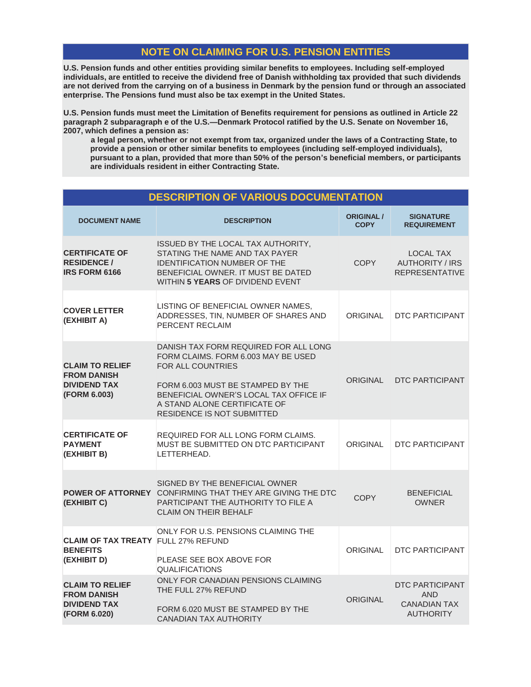# **NOTE ON CLAIMING FOR U.S. PENSION ENTITIES**

**U.S. Pension funds and other entities providing similar benefits to employees. Including self-employed individuals, are entitled to receive the dividend free of Danish withholding tax provided that such dividends are not derived from the carrying on of a business in Denmark by the pension fund or through an associated enterprise. The Pensions fund must also be tax exempt in the United States.**

**U.S. Pension funds must meet the Limitation of Benefits requirement for pensions as outlined in Article 22 paragraph 2 subparagraph e of the U.S.—Denmark Protocol ratified by the U.S. Senate on November 16, 2007, which defines a pension as:**

**a legal person, whether or not exempt from tax, organized under the laws of a Contracting State, to provide a pension or other similar benefits to employees (including self-employed individuals), pursuant to a plan, provided that more than 50% of the person's beneficial members, or participants are individuals resident in either Contracting State.**

|                                                                                     | <b>DESCRIPTION OF VARIOUS DOCUMENTATION</b>                                                                                                                                                                                                                  |                                  |                                                                                 |
|-------------------------------------------------------------------------------------|--------------------------------------------------------------------------------------------------------------------------------------------------------------------------------------------------------------------------------------------------------------|----------------------------------|---------------------------------------------------------------------------------|
| <b>DOCUMENT NAME</b>                                                                | <b>DESCRIPTION</b>                                                                                                                                                                                                                                           | <b>ORIGINAL /</b><br><b>COPY</b> | <b>SIGNATURE</b><br><b>REQUIREMENT</b>                                          |
| <b>CERTIFICATE OF</b><br><b>RESIDENCE /</b><br><b>IRS FORM 6166</b>                 | ISSUED BY THE LOCAL TAX AUTHORITY,<br>STATING THE NAME AND TAX PAYER<br>IDENTIFICATION NUMBER OF THE<br>BENEFICIAL OWNER. IT MUST BE DATED<br>WITHIN 5 YEARS OF DIVIDEND EVENT                                                                               | <b>COPY</b>                      | <b>LOCAL TAX</b><br><b>AUTHORITY / IRS</b><br><b>REPRESENTATIVE</b>             |
| <b>COVER LETTER</b><br>(EXHIBIT A)                                                  | LISTING OF BENEFICIAL OWNER NAMES,<br>ADDRESSES, TIN, NUMBER OF SHARES AND<br>PERCENT RECLAIM                                                                                                                                                                | ORIGINAL                         | DTC PARTICIPANT                                                                 |
| <b>CLAIM TO RELIEF</b><br><b>FROM DANISH</b><br><b>DIVIDEND TAX</b><br>(FORM 6.003) | DANISH TAX FORM REQUIRED FOR ALL LONG<br>FORM CLAIMS. FORM 6.003 MAY BE USED<br><b>FOR ALL COUNTRIES</b><br>FORM 6.003 MUST BE STAMPED BY THE<br>BENEFICIAL OWNER'S LOCAL TAX OFFICE IF<br>A STAND ALONE CERTIFICATE OF<br><b>RESIDENCE IS NOT SUBMITTED</b> | <b>ORIGINAL</b>                  | <b>DTC PARTICIPANT</b>                                                          |
| <b>CERTIFICATE OF</b><br><b>PAYMENT</b><br>(EXHIBIT B)                              | REQUIRED FOR ALL LONG FORM CLAIMS.<br>MUST BE SUBMITTED ON DTC PARTICIPANT<br>LETTERHEAD.                                                                                                                                                                    | ORIGINAL                         | DTC PARTICIPANT                                                                 |
| (EXHIBIT C)                                                                         | SIGNED BY THE BENEFICIAL OWNER<br><b>POWER OF ATTORNEY CONFIRMING THAT THEY ARE GIVING THE DTC</b><br>PARTICIPANT THE AUTHORITY TO FILE A<br><b>CLAIM ON THEIR BEHALF</b>                                                                                    | <b>COPY</b>                      | <b>BENEFICIAL</b><br><b>OWNER</b>                                               |
| <b>CLAIM OF TAX TREATY FULL 27% REFUND</b><br><b>BENEFITS</b><br>(EXHIBIT D)        | ONLY FOR U.S. PENSIONS CLAIMING THE<br>PLEASE SEE BOX ABOVE FOR<br><b>QUALIFICATIONS</b>                                                                                                                                                                     | <b>ORIGINAL</b>                  | <b>DTC PARTICIPANT</b>                                                          |
| <b>CLAIM TO RELIEF</b><br><b>FROM DANISH</b><br><b>DIVIDEND TAX</b><br>(FORM 6.020) | ONLY FOR CANADIAN PENSIONS CLAIMING<br>THE FULL 27% REFUND<br>FORM 6.020 MUST BE STAMPED BY THE<br><b>CANADIAN TAX AUTHORITY</b>                                                                                                                             | <b>ORIGINAL</b>                  | <b>DTC PARTICIPANT</b><br><b>AND</b><br><b>CANADIAN TAX</b><br><b>AUTHORITY</b> |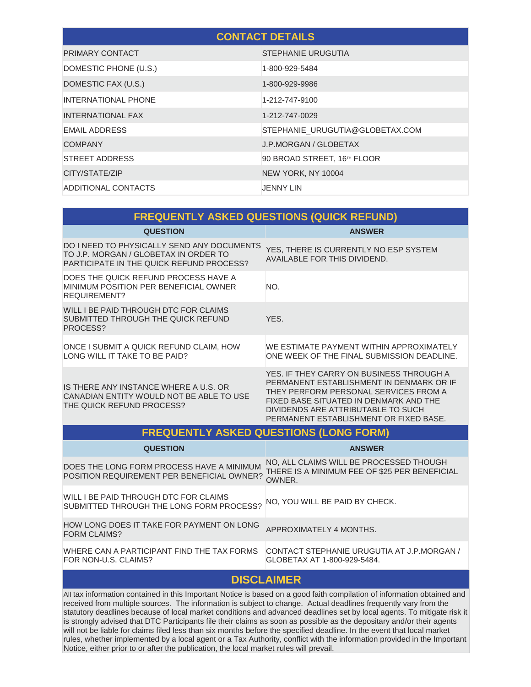| <b>CONTACT DETAILS</b>     |                                 |  |  |  |
|----------------------------|---------------------------------|--|--|--|
| PRIMARY CONTACT            | STEPHANIE URUGUTIA              |  |  |  |
| DOMESTIC PHONE (U.S.)      | 1-800-929-5484                  |  |  |  |
| DOMESTIC FAX (U.S.)        | 1-800-929-9986                  |  |  |  |
| <b>INTERNATIONAL PHONE</b> | 1-212-747-9100                  |  |  |  |
| <b>INTERNATIONAL FAX</b>   | 1-212-747-0029                  |  |  |  |
| <b>EMAIL ADDRESS</b>       | STEPHANIE_URUGUTIA@GLOBETAX.COM |  |  |  |
| <b>COMPANY</b>             | J.P.MORGAN / GLOBETAX           |  |  |  |
| <b>STREET ADDRESS</b>      | 90 BROAD STREET, 16TH FLOOR     |  |  |  |
| CITY/STATE/ZIP             | NEW YORK, NY 10004              |  |  |  |
| ADDITIONAL CONTACTS        | JENNY LIN                       |  |  |  |

| <b>FREQUENTLY ASKED QUESTIONS (QUICK REFUND)</b>                                                                                       |                                                                                                                                                                                                                                                         |  |  |  |  |
|----------------------------------------------------------------------------------------------------------------------------------------|---------------------------------------------------------------------------------------------------------------------------------------------------------------------------------------------------------------------------------------------------------|--|--|--|--|
| <b>QUESTION</b>                                                                                                                        | <b>ANSWER</b>                                                                                                                                                                                                                                           |  |  |  |  |
| DO I NEED TO PHYSICALLY SEND ANY DOCUMENTS<br>TO J.P. MORGAN / GLOBETAX IN ORDER TO<br><b>PARTICIPATE IN THE QUICK REFUND PROCESS?</b> | YES, THERE IS CURRENTLY NO ESP SYSTEM<br>AVAILABLE FOR THIS DIVIDEND.                                                                                                                                                                                   |  |  |  |  |
| DOES THE QUICK REFUND PROCESS HAVE A<br>MINIMUM POSITION PER BENEFICIAL OWNER<br>REQUIREMENT?                                          | NO.                                                                                                                                                                                                                                                     |  |  |  |  |
| WILL I BE PAID THROUGH DTC FOR CLAIMS<br>SUBMITTED THROUGH THE QUICK REFUND<br>PROCESS?                                                | YES.                                                                                                                                                                                                                                                    |  |  |  |  |
| ONCE I SUBMIT A QUICK REFUND CLAIM, HOW<br>LONG WILL IT TAKE TO BE PAID?                                                               | WE ESTIMATE PAYMENT WITHIN APPROXIMATELY<br>ONE WEEK OF THE FINAL SUBMISSION DEADLINE.                                                                                                                                                                  |  |  |  |  |
| IS THERE ANY INSTANCE WHERE A U.S. OR<br>CANADIAN ENTITY WOULD NOT BE ABLE TO USE<br>THE QUICK REFUND PROCESS?                         | YES. IF THEY CARRY ON BUSINESS THROUGH A<br>PERMANENT ESTABLISHMENT IN DENMARK OR IF<br>THEY PERFORM PERSONAL SERVICES FROM A<br>FIXED BASE SITUATED IN DENMARK AND THE<br>DIVIDENDS ARE ATTRIBUTABLE TO SUCH<br>PERMANENT ESTABLISHMENT OR FIXED BASE. |  |  |  |  |
| <b>FREQUENTLY ASKED QUESTIONS (LONG FORM)</b>                                                                                          |                                                                                                                                                                                                                                                         |  |  |  |  |
| <b>QUESTION</b>                                                                                                                        | <b>ANSWER</b>                                                                                                                                                                                                                                           |  |  |  |  |
| DOES THE LONG FORM PROCESS HAVE A MINIMUM<br>POSITION REQUIREMENT PER BENEFICIAL OWNER?                                                | NO, ALL CLAIMS WILL BE PROCESSED THOUGH<br>THERE IS A MINIMUM FEE OF \$25 PER BENEFICIAL<br>OWNER.                                                                                                                                                      |  |  |  |  |
|                                                                                                                                        |                                                                                                                                                                                                                                                         |  |  |  |  |

WILL I BE PAID THROUGH DTC FOR CLAIMS NILL I BE PAID THROUGH DTC FOR CLAIMS<br>SUBMITTED THROUGH THE LONG FORM PROCESS? NO, YOU WILL BE PAID BY CHECK. HOW LONG DOES IT TAKE FOR PAYMENT ON LONG<br>FORM CLAIMS? APPROXIMATELY 4 MONTHS.

WHERE CAN A PARTICIPANT FIND THE TAX FORMS CONTACT STEPHANIE URUGUTIA AT J.P.MORGAN / FOR NON-U.S. CLAIMS?

# GLOBETAX AT 1-800-929-5484.

# **DISCLAIMER**

All tax information contained in this Important Notice is based on a good faith compilation of information obtained and received from multiple sources. The information is subject to change. Actual deadlines frequently vary from the statutory deadlines because of local market conditions and advanced deadlines set by local agents. To mitigate risk it is strongly advised that DTC Participants file their claims as soon as possible as the depositary and/or their agents will not be liable for claims filed less than six months before the specified deadline. In the event that local market rules, whether implemented by a local agent or a Tax Authority, conflict with the information provided in the Important Notice, either prior to or after the publication, the local market rules will prevail.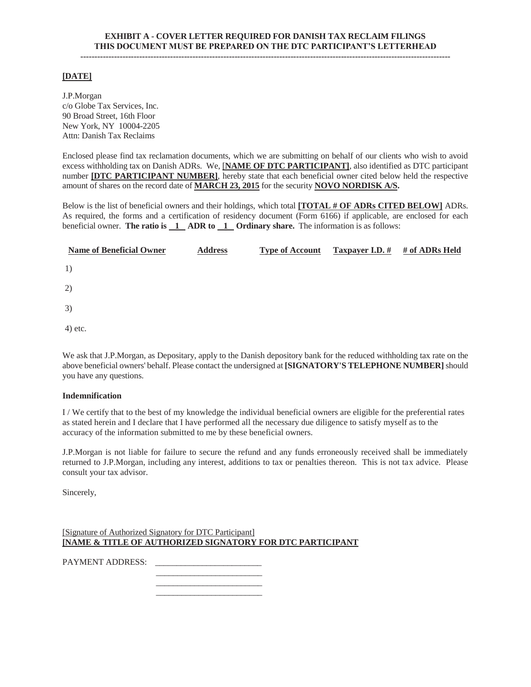#### **[DATE]**

J.P.Morgan c/o Globe Tax Services, Inc. 90 Broad Street, 16th Floor New York, NY 10004-2205 Attn: Danish Tax Reclaims

Enclosed please find tax reclamation documents, which we are submitting on behalf of our clients who wish to avoid excess withholding tax on Danish ADRs. We, [**NAME OF DTC PARTICIPANT]**, also identified as DTC participant number **[DTC PARTICIPANT NUMBER]**, hereby state that each beneficial owner cited below held the respective amount of shares on the record date of **MARCH 23, 2015** for the security **NOVO NORDISK A/S.** 

Below is the list of beneficial owners and their holdings, which total **[TOTAL # OF ADRs CITED BELOW]** ADRs. As required, the forms and a certification of residency document (Form 6166) if applicable, are enclosed for each beneficial owner. **The ratio is 1 ADR to 1 Ordinary share.** The information is as follows:

| <b>Name of Beneficial Owner</b> | <b>Address</b> | <b>Type of Account</b> | Taxpayer I.D. # | # of ADRs Held |
|---------------------------------|----------------|------------------------|-----------------|----------------|
| 1)                              |                |                        |                 |                |
| 2)                              |                |                        |                 |                |
| 3)                              |                |                        |                 |                |
| 4) etc.                         |                |                        |                 |                |

We ask that J.P.Morgan, as Depositary, apply to the Danish depository bank for the reduced withholding tax rate on the above beneficial owners' behalf. Please contact the undersigned at **[SIGNATORY'S TELEPHONE NUMBER]** should you have any questions.

#### **Indemnification**

I / We certify that to the best of my knowledge the individual beneficial owners are eligible for the preferential rates as stated herein and I declare that I have performed all the necessary due diligence to satisfy myself as to the accuracy of the information submitted to me by these beneficial owners.

J.P.Morgan is not liable for failure to secure the refund and any funds erroneously received shall be immediately returned to J.P.Morgan, including any interest, additions to tax or penalties thereon. This is not tax advice. Please consult your tax advisor.

Sincerely,

[Signature of Authorized Signatory for DTC Participant] **[NAME & TITLE OF AUTHORIZED SIGNATORY FOR DTC PARTICIPANT** 

PAYMENT ADDRESS: \_\_\_\_\_\_\_\_\_\_\_\_\_\_\_\_\_\_\_\_\_\_\_\_\_

 $\frac{1}{\sqrt{2}}$  ,  $\frac{1}{\sqrt{2}}$  ,  $\frac{1}{\sqrt{2}}$  ,  $\frac{1}{\sqrt{2}}$  ,  $\frac{1}{\sqrt{2}}$  ,  $\frac{1}{\sqrt{2}}$  ,  $\frac{1}{\sqrt{2}}$  ,  $\frac{1}{\sqrt{2}}$  ,  $\frac{1}{\sqrt{2}}$  ,  $\frac{1}{\sqrt{2}}$  ,  $\frac{1}{\sqrt{2}}$  ,  $\frac{1}{\sqrt{2}}$  ,  $\frac{1}{\sqrt{2}}$  ,  $\frac{1}{\sqrt{2}}$  ,  $\frac{1}{\sqrt{2}}$  $\frac{1}{\sqrt{2}}$  ,  $\frac{1}{\sqrt{2}}$  ,  $\frac{1}{\sqrt{2}}$  ,  $\frac{1}{\sqrt{2}}$  ,  $\frac{1}{\sqrt{2}}$  ,  $\frac{1}{\sqrt{2}}$  ,  $\frac{1}{\sqrt{2}}$  ,  $\frac{1}{\sqrt{2}}$  ,  $\frac{1}{\sqrt{2}}$  ,  $\frac{1}{\sqrt{2}}$  ,  $\frac{1}{\sqrt{2}}$  ,  $\frac{1}{\sqrt{2}}$  ,  $\frac{1}{\sqrt{2}}$  ,  $\frac{1}{\sqrt{2}}$  ,  $\frac{1}{\sqrt{2}}$  $\frac{1}{\sqrt{2}}$  ,  $\frac{1}{\sqrt{2}}$  ,  $\frac{1}{\sqrt{2}}$  ,  $\frac{1}{\sqrt{2}}$  ,  $\frac{1}{\sqrt{2}}$  ,  $\frac{1}{\sqrt{2}}$  ,  $\frac{1}{\sqrt{2}}$  ,  $\frac{1}{\sqrt{2}}$  ,  $\frac{1}{\sqrt{2}}$  ,  $\frac{1}{\sqrt{2}}$  ,  $\frac{1}{\sqrt{2}}$  ,  $\frac{1}{\sqrt{2}}$  ,  $\frac{1}{\sqrt{2}}$  ,  $\frac{1}{\sqrt{2}}$  ,  $\frac{1}{\sqrt{2}}$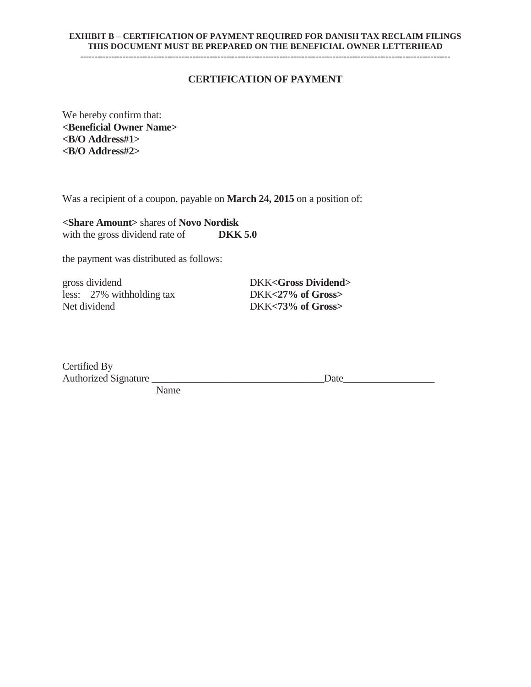#### **EXHIBIT B – CERTIFICATION OF PAYMENT REQUIRED FOR DANISH TAX RECLAIM FILINGS THIS DOCUMENT MUST BE PREPARED ON THE BENEFICIAL OWNER LETTERHEAD ------------------------------------------------------------------------------------------------------------------------------------**

# **CERTIFICATION OF PAYMENT**

We hereby confirm that: **<Beneficial Owner Name> <B/O Address#1> <B/O Address#2>** 

Was a recipient of a coupon, payable on **March 24, 2015** on a position of:

**<Share Amount>** shares of **Novo Nordisk**  with the gross dividend rate of **DKK 5.0** 

the payment was distributed as follows:

gross dividend DKK<Gross Dividend> less: 27% withholding tax DKK**<27% of Gross>** 

DKK<73% of Gross>

Certified By Authorized Signature \_\_\_\_\_\_\_\_\_\_\_\_\_\_\_\_\_\_\_\_\_\_\_\_\_\_\_\_\_\_\_\_\_\_Date\_\_\_\_\_\_\_\_\_\_\_\_\_\_\_\_\_\_ Name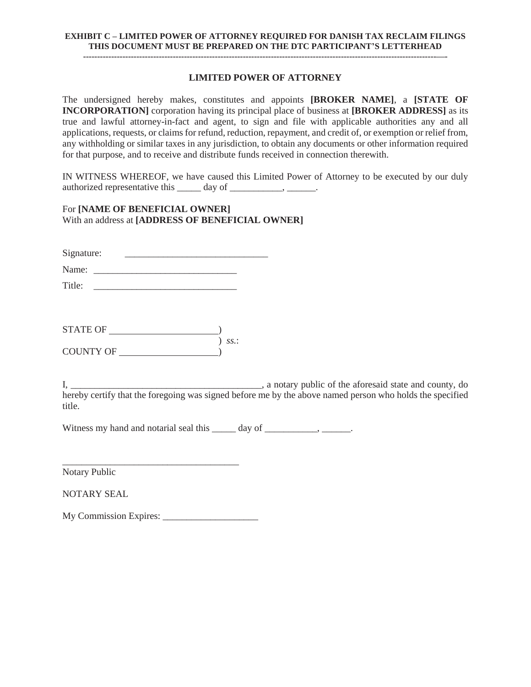## **EXHIBIT C – LIMITED POWER OF ATTORNEY REQUIRED FOR DANISH TAX RECLAIM FILINGS THIS DOCUMENT MUST BE PREPARED ON THE DTC PARTICIPANT'S LETTERHEAD**

#### **LIMITED POWER OF ATTORNEY**

The undersigned hereby makes, constitutes and appoints **[BROKER NAME]**, a **[STATE OF INCORPORATION]** corporation having its principal place of business at **[BROKER ADDRESS]** as its true and lawful attorney-in-fact and agent, to sign and file with applicable authorities any and all applications, requests, or claims for refund, reduction, repayment, and credit of, or exemption or relief from, any withholding or similar taxes in any jurisdiction, to obtain any documents or other information required for that purpose, and to receive and distribute funds received in connection therewith.

IN WITNESS WHEREOF, we have caused this Limited Power of Attorney to be executed by our duly authorized representative this  $\_\_\_\_$  day of  $\_\_\_\_\_\_\_\_\_\_\_\_\_\_\_\_\_\_\_\_\_\_$ 

## For **[NAME OF BENEFICIAL OWNER]** With an address at **[ADDRESS OF BENEFICIAL OWNER]**

Signature: \_\_\_\_\_\_\_\_\_\_\_\_\_\_\_\_\_\_\_\_\_\_\_\_\_\_\_\_\_\_

Name: \_\_\_\_\_\_\_\_\_\_\_\_\_\_\_\_\_\_\_\_\_\_\_\_\_\_\_\_\_\_

Title: \_\_\_\_\_\_\_\_\_\_\_\_\_\_\_\_\_\_\_\_\_\_\_\_\_\_\_\_\_\_

| STATE OF  |         |
|-----------|---------|
|           | $SS$ .: |
| COUNTY OF |         |

I, \_\_\_\_\_\_\_\_\_\_\_\_\_\_\_\_\_\_\_\_\_\_\_\_\_\_\_\_\_\_\_\_\_\_\_\_\_\_\_\_, a notary public of the aforesaid state and county, do hereby certify that the foregoing was signed before me by the above named person who holds the specified title.

Witness my hand and notarial seal this \_\_\_\_\_ day of \_\_\_\_\_\_\_\_\_, \_\_\_\_\_\_.

\_\_\_\_\_\_\_\_\_\_\_\_\_\_\_\_\_\_\_\_\_\_\_\_\_\_\_\_\_\_\_\_\_\_\_\_\_ Notary Public

NOTARY SEAL

My Commission Expires: \_\_\_\_\_\_\_\_\_\_\_\_\_\_\_\_\_\_\_\_